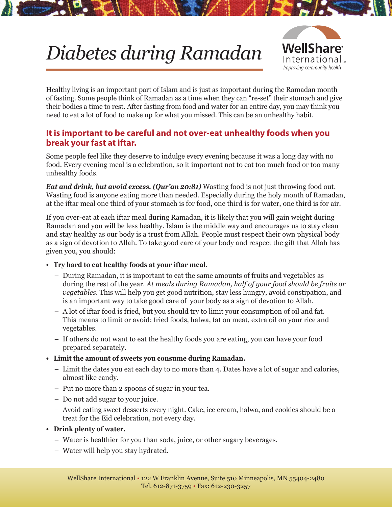# *Diabetes during Ramadan*



Healthy living is an important part of Islam and is just as important during the Ramadan month of fasting. Some people think of Ramadan as a time when they can "re-set" their stomach and give their bodies a time to rest. After fasting from food and water for an entire day, you may think you need to eat a lot of food to make up for what you missed. This can be an unhealthy habit.

### **It is important to be careful and not over-eat unhealthy foods when you break your fast at iftar.**

Some people feel like they deserve to indulge every evening because it was a long day with no food. Every evening meal is a celebration, so it important not to eat too much food or too many unhealthy foods.

*Eat and drink, but avoid excess. (Qur'an 20:81)* Wasting food is not just throwing food out. Wasting food is anyone eating more than needed. Especially during the holy month of Ramadan, at the iftar meal one third of your stomach is for food, one third is for water, one third is for air.

If you over-eat at each iftar meal during Ramadan, it is likely that you will gain weight during Ramadan and you will be less healthy. Islam is the middle way and encourages us to stay clean and stay healthy as our body is a trust from Allah. People must respect their own physical body as a sign of devotion to Allah. To take good care of your body and respect the gift that Allah has given you, you should:

- **• Try hard to eat healthy foods at your iftar meal.**
	- During Ramadan, it is important to eat the same amounts of fruits and vegetables as during the rest of the year. *At meals during Ramadan, half of your food should be fruits or vegetables.* This will help you get good nutrition, stay less hungry, avoid constipation, and is an important way to take good care of your body as a sign of devotion to Allah.
	- A lot of iftar food is fried, but you should try to limit your consumption of oil and fat. This means to limit or avoid: fried foods, halwa, fat on meat, extra oil on your rice and vegetables.
	- If others do not want to eat the healthy foods you are eating, you can have your food prepared separately.
- **• Limit the amount of sweets you consume during Ramadan.**
	- Limit the dates you eat each day to no more than 4. Dates have a lot of sugar and calories, almost like candy.
	- Put no more than 2 spoons of sugar in your tea.
	- Do not add sugar to your juice.
	- Avoid eating sweet desserts every night. Cake, ice cream, halwa, and cookies should be a treat for the Eid celebration, not every day.
- **• Drink plenty of water.**
	- Water is healthier for you than soda, juice, or other sugary beverages.
	- Water will help you stay hydrated.